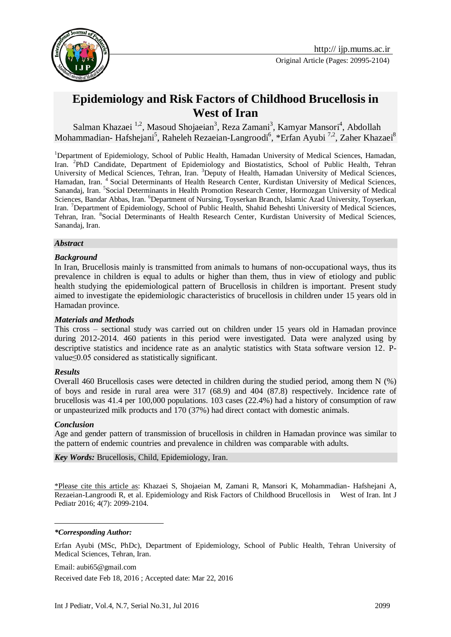

Original Article (Pages: 20995-2104)

# **[Epidemiology and Risk Factors of Childhood Brucellosis in](https://www.google.com/url?sa=t&rct=j&q=&esrc=s&source=web&cd=5&ved=0ahUKEwiG1eGC6IbNAhUDkRQKHV_FChkQFgg0MAQ&url=http%3A%2F%2Fwww.emro.who.int%2Femhj%2F1303%2F13_3_2007_677_685.pdf%3Fua%3D1&usg=AFQjCNFqUtNgj-D7BjNzHPi_Ef5YLfWSCg&sig2=RWTmuppm0y3k3rBbDmfDeA&bvm=bv.123325700,d.d24&cad=rja)  [West of Iran](https://www.google.com/url?sa=t&rct=j&q=&esrc=s&source=web&cd=5&ved=0ahUKEwiG1eGC6IbNAhUDkRQKHV_FChkQFgg0MAQ&url=http%3A%2F%2Fwww.emro.who.int%2Femhj%2F1303%2F13_3_2007_677_685.pdf%3Fua%3D1&usg=AFQjCNFqUtNgj-D7BjNzHPi_Ef5YLfWSCg&sig2=RWTmuppm0y3k3rBbDmfDeA&bvm=bv.123325700,d.d24&cad=rja)**

Salman Khazaei<sup>1,2</sup>, Masoud Shojaeian<sup>3</sup>, Reza Zamani<sup>3</sup>, Kamyar Mansori<sup>4</sup>, Abdollah Mohammadian- Hafshejani<sup>5</sup>, Raheleh Rezaeian-Langroodi<sup>6</sup>, \*Erfan Ayubi<sup>7,2</sup>, Zaher Khazaei<sup>8</sup>

<sup>1</sup>Department of Epidemiology, School of Public Health, Hamadan University of Medical Sciences, Hamadan, Iran. <sup>2</sup>PhD Candidate, Department of Epidemiology and Biostatistics, School of Public Health, Tehran University of Medical Sciences, Tehran, Iran. <sup>3</sup>Deputy of Health, Hamadan University of Medical Sciences, Hamadan, Iran. <sup>4</sup> Social Determinants of Health Research Center, Kurdistan University of Medical Sciences, Sanandaj, Iran. <sup>5</sup> Social Determinants in Health Promotion Research Center, Hormozgan University of Medical Sciences, Bandar Abbas, Iran. <sup>6</sup>Department of Nursing, Toyserkan Branch, Islamic Azad University, Toyserkan, Iran. <sup>7</sup>Department of Epidemiology, School of Public Health, Shahid Beheshti University of Medical Sciences, Tehran, Iran. <sup>8</sup> Social Determinants of Health Research Center, Kurdistan University of Medical Sciences, Sanandaj, Iran.

#### *Abstract*

#### *Background*

In Iran, Brucellosis mainly is transmitted from animals to humans of non-occupational ways, thus its prevalence in children is equal to adults or higher than them, thus in view of etiology and public health studying the epidemiological pattern of Brucellosis in children is important. Present study aimed to investigate the epidemiologic characteristics of brucellosis in children under 15 years old in Hamadan province.

#### *Materials and Methods*

This cross – sectional study was carried out on children under 15 years old in Hamadan province during 2012-2014. 460 patients in this period were investigated. Data were analyzed using by descriptive statistics and incidence rate as an analytic statistics with Stata software version 12. Pvalue≤0.05 considered as statistically significant.

#### *Results*

Overall 460 Brucellosis cases were detected in children during the studied period, among them N (%) of boys and reside in rural area were 317 (68.9) and 404 (87.8) respectively. Incidence rate of brucellosis was 41.4 per 100,000 populations. 103 cases (22.4%) had a history of consumption of raw or unpasteurized milk products and 170 (37%) had direct contact with domestic animals.

#### *Conclusion*

<u>.</u>

Age and gender pattern of transmission of brucellosis in children in Hamadan province was similar to the pattern of endemic countries and prevalence in children was comparable with adults.

*Key Words:* Brucellosis, Child, Epidemiology, Iran.

\*Please cite this article as: Khazaei S, Shojaeian M, Zamani R, Mansori K, Mohammadian- Hafshejani A, Rezaeian-Langroodi R, et al. [Epidemiology and Risk Factors of Childhood Brucellosis in West of Iran.](https://www.google.com/url?sa=t&rct=j&q=&esrc=s&source=web&cd=5&ved=0ahUKEwiG1eGC6IbNAhUDkRQKHV_FChkQFgg0MAQ&url=http%3A%2F%2Fwww.emro.who.int%2Femhj%2F1303%2F13_3_2007_677_685.pdf%3Fua%3D1&usg=AFQjCNFqUtNgj-D7BjNzHPi_Ef5YLfWSCg&sig2=RWTmuppm0y3k3rBbDmfDeA&bvm=bv.123325700,d.d24&cad=rja) Int J Pediatr 2016; 4(7): 2099-2104.

#### *\*Corresponding Author:*

Erfan Ayubi (MSc, PhDc), Department of Epidemiology, School of Public Health, Tehran University of Medical Sciences, Tehran, Iran.

Email: aubi65@gmail.com Received date Feb 18, 2016 ; Accepted date: Mar 22, 2016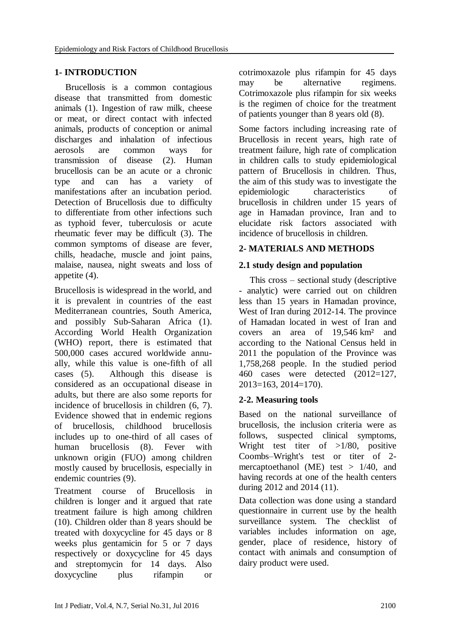# **1- INTRODUCTION**

Brucellosis is a common contagious disease that transmitted from domestic animals [\(1\)](#page-4-0). Ingestion of raw milk, cheese or meat, or direct contact with infected animals, products of conception or animal discharges and inhalation of infectious aerosols are common ways for transmission of disease [\(2\)](#page-4-1). Human brucellosis can be an acute or a chronic type and can has a variety of manifestations after an incubation period. Detection of Brucellosis due to difficulty to differentiate from other infections such as typhoid fever, tuberculosis or acute rheumatic fever may be difficult [\(3\)](#page-4-2). The common symptoms of disease are fever, chills, headache, muscle and joint pains, malaise, nausea, night sweats and loss of appetite [\(4\)](#page-4-3).

Brucellosis is widespread in the world, and it is prevalent in countries of the east Mediterranean countries, South America, and possibly Sub-Saharan Africa [\(1\)](#page-4-0). According World Health Organization (WHO) report, there is estimated that 500,000 cases accured worldwide annually, while this value is one-fifth of all cases [\(5\)](#page-5-0). Although this disease is considered as an occupational disease in adults, but there are also some reports for incidence of brucellosis in children [\(6,](#page-5-1) [7\)](#page-5-2). Evidence showed that in endemic regions of brucellosis, childhood brucellosis includes up to one-third of all cases of human brucellosis [\(8\)](#page-5-3). Fever with unknown origin (FUO) among children mostly caused by brucellosis, especially in endemic countries [\(9\)](#page-5-4).

Treatment course of Brucellosis in children is longer and it argued that rate treatment failure is high among children [\(10\)](#page-5-5). Children older than 8 years should be treated with doxycycline for 45 days or 8 weeks plus gentamicin for 5 or 7 days respectively or doxycycline for 45 days and streptomycin for 14 days. Also doxycycline plus rifampin or

cotrimoxazole plus rifampin for 45 days may be alternative regimens. Cotrimoxazole plus rifampin for six weeks is the regimen of choice for the treatment of patients younger than 8 years old [\(8\)](#page-5-3).

Some factors including increasing rate of Brucellosis in recent years, high rate of treatment failure, high rate of complication in children calls to study epidemiological pattern of Brucellosis in children. Thus, the aim of this study was to investigate the epidemiologic characteristics of brucellosis in children under 15 years of age in Hamadan province, Iran and to elucidate risk factors associated with incidence of brucellosis in children.

### **2- MATERIALS AND METHODS**

### **2.1 study design and population**

This cross – sectional study (descriptive - analytic) were carried out on children less than 15 years in Hamadan province, West of Iran during 2012-14. The province of Hamadan located in west of Iran and covers an area of 19,546 km² and according to the National Census held in 2011 the population of the Province was 1,758,268 people. In the studied period 460 cases were detected (2012=127, 2013=163, 2014=170).

# **2-2. Measuring tools**

Based on the national surveillance of brucellosis, the inclusion criteria were as follows, suspected clinical symptoms, Wright test titer of >1/80, positive Coombs–Wright's test or titer of 2 mercaptoethanol (ME) test  $> 1/40$ , and having records at one of the health centers during 2012 and 2014 [\(11\)](#page-5-6).

Data collection was done using a standard questionnaire in current use by the health surveillance system. The checklist of variables includes information on age, gender, place of residence, history of contact with animals and consumption of dairy product were used.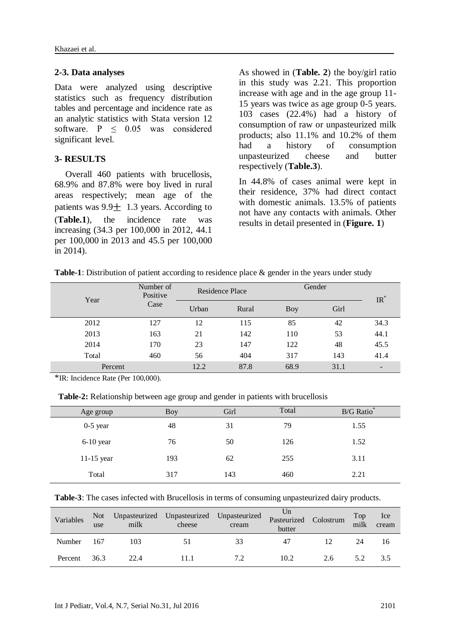#### **2-3. Data analyses**

Data were analyzed using descriptive statistics such as frequency distribution tables and percentage and incidence rate as an analytic statistics with Stata version 12 software. P < 0.05 was considered significant level.

### **3- RESULTS**

Overall 460 patients with brucellosis, 68.9% and 87.8% were boy lived in rural areas respectively; mean age of the patients was  $9.9 \pm 1.3$  years. According to (**Table.1**), the incidence rate was increasing (34.3 per 100,000 in 2012, 44.1 per 100,000 in 2013 and 45.5 per 100,000 in 2014).

As showed in (**Table. 2**) the boy/girl ratio in this study was 2.21. This proportion increase with age and in the age group 11- 15 years was twice as age group 0-5 years. 103 cases (22.4%) had a history of consumption of raw or unpasteurized milk products; also 11.1% and 10.2% of them had a history of consumption unpasteurized cheese and butter respectively (**Table.3**).

In 44.8% of cases animal were kept in their residence, 37% had direct contact with domestic animals. 13.5% of patients not have any contacts with animals. Other results in detail presented in (**Figure. 1**)

| <b>Table-1</b> : Distribution of patient according to residence place $\&$ gender in the years under study |  |  |
|------------------------------------------------------------------------------------------------------------|--|--|
|                                                                                                            |  |  |

| Year    | Number of<br>Positive | Residence Place |       | Gender |      | $IR^*$                   |  |
|---------|-----------------------|-----------------|-------|--------|------|--------------------------|--|
|         | Case                  | Urban           | Rural | Boy    | Girl |                          |  |
| 2012    | 127                   | 12              | 115   | 85     | 42   | 34.3                     |  |
| 2013    | 163                   | 21              | 142   | 110    | 53   | 44.1                     |  |
| 2014    | 170                   | 23              | 147   | 122    | 48   | 45.5                     |  |
| Total   | 460                   | 56              | 404   | 317    | 143  | 41.4                     |  |
| Percent |                       | 12.2            | 87.8  | 68.9   | 31.1 | $\overline{\phantom{a}}$ |  |

\*IR: Incidence Rate (Per 100,000).

**Table-2:** Relationship between age group and gender in patients with brucellosis

| Age group    | <b>Boy</b> | Girl | Total | B/G Ratio* |
|--------------|------------|------|-------|------------|
| $0-5$ year   | 48         | 31   | 79    | 1.55       |
| $6-10$ year  | 76         | 50   | 126   | 1.52       |
| $11-15$ year | 193        | 62   | 255   | 3.11       |
| Total        | 317        | 143  | 460   | 2.21       |

|  | Table-3: The cases infected with Brucellosis in terms of consuming unpasteurized dairy products. |  |
|--|--------------------------------------------------------------------------------------------------|--|
|--|--------------------------------------------------------------------------------------------------|--|

| Variables | <b>Not</b><br>use | milk | Unpasteurized Unpasteurized Unpasteurized<br>cheese | cream | Un<br>Pasteurized<br>butter | Colostrum | Top<br>milk | Ice<br>cream |
|-----------|-------------------|------|-----------------------------------------------------|-------|-----------------------------|-----------|-------------|--------------|
| Number    | 167               | 103  |                                                     | 33    | 47                          |           | 24          | 16           |
| Percent   | 36.3              | 22.4 |                                                     | 7.2   | 10.2                        | 2.6       | 5.2         | 3.5          |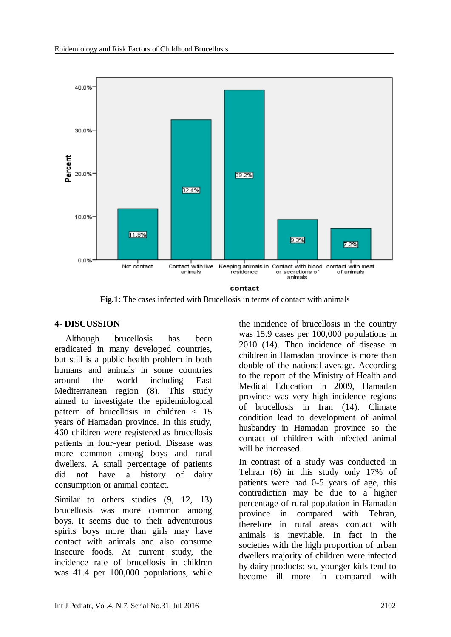

**Fig.1:** The cases infected with Brucellosis in terms of contact with animals

### **4- DISCUSSION**

Although brucellosis has been eradicated in many developed countries, but still is a public health problem in both humans and animals in some countries around the world including East Mediterranean region [\(8\)](#page-5-3). This study aimed to investigate the epidemiological pattern of brucellosis in children < 15 years of Hamadan province. In this study, 460 children were registered as brucellosis patients in four-year period. Disease was more common among boys and rural dwellers. A small percentage of patients did not have a history of dairy consumption or animal contact.

Similar to others studies  $(9, 12, 13)$  $(9, 12, 13)$  $(9, 12, 13)$  $(9, 12, 13)$  $(9, 12, 13)$ brucellosis was more common among boys. It seems due to their adventurous spirits boys more than girls may have contact with animals and also consume insecure foods. At current study, the incidence rate of brucellosis in children was 41.4 per 100,000 populations, while

the incidence of brucellosis in the country was 15.9 cases per 100,000 populations in 2010 [\(14\)](#page-5-9). Then incidence of disease in children in Hamadan province is more than double of the national average. According to the report of the Ministry of Health and Medical Education in 2009, Hamadan province was very high incidence regions of brucellosis in Iran [\(14\)](#page-5-9). Climate condition lead to development of animal husbandry in Hamadan province so the contact of children with infected animal will be increased.

In contrast of a study was conducted in Tehran [\(6\)](#page-5-1) in this study only 17% of patients were had 0-5 years of age, this contradiction may be due to a higher percentage of rural population in Hamadan province in compared with Tehran, therefore in rural areas contact with animals is inevitable. In fact in the societies with the high proportion of urban dwellers majority of children were infected by dairy products; so, younger kids tend to become ill more in compared with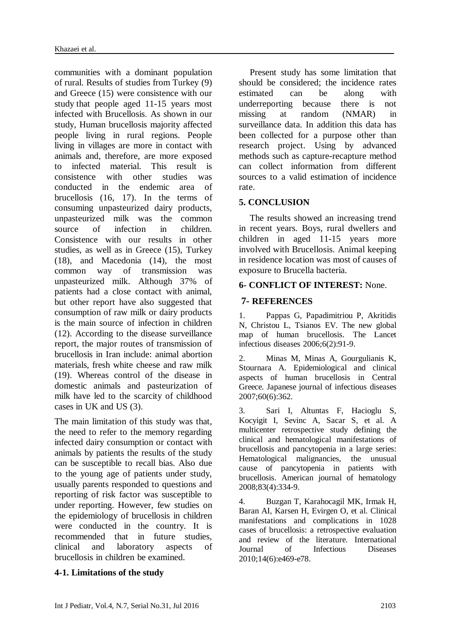communities with a dominant population of rural. Results of studies from Turkey [\(9\)](#page-5-4) and Greece [\(15\)](#page-5-10) were consistence with our study that people aged 11-15 years most infected with Brucellosis. As shown in our study, Human brucellosis majority affected people living in rural regions. People living in villages are more in contact with animals and, therefore, are more exposed to infected material. This result is consistence with other studies was conducted in the endemic area of brucellosis [\(16,](#page-5-11) [17\)](#page-5-12). In the terms of consuming unpasteurized dairy products, unpasteurized milk was the common source of infection in children. Consistence with our results in other studies, as well as in Greece [\(15\)](#page-5-10), Turkey [\(18\)](#page-5-13), and Macedonia [\(14\)](#page-5-9), the most common way of transmission was unpasteurized milk. Although 37% of patients had a close contact with animal, but other report have also suggested that consumption of raw milk or dairy products is the main source of infection in children [\(12\)](#page-5-7). According to the disease surveillance report, the major routes of transmission of brucellosis in Iran include: animal abortion materials, fresh white cheese and raw milk [\(19\)](#page-5-14). Whereas control of the disease in domestic animals and pasteurization of milk have led to the scarcity of childhood cases in UK and US [\(3\)](#page-4-2).

The main limitation of this study was that, the need to refer to the memory regarding infected dairy consumption or contact with animals by patients the results of the study can be susceptible to recall bias. Also due to the young age of patients under study, usually parents responded to questions and reporting of risk factor was susceptible to under reporting. However, few studies on the epidemiology of brucellosis in children were conducted in the country. It is recommended that in future studies, clinical and laboratory aspects of brucellosis in children be examined.

### **4-1. Limitations of the study**

Present study has some limitation that should be considered; the incidence rates estimated can be along with underreporting because there is not missing at random (NMAR) in surveillance data. In addition this data has been collected for a purpose other than research project. Using by advanced methods such as capture-recapture method can collect information from different sources to a valid estimation of incidence rate.

### **5. CONCLUSION**

The results showed an increasing trend in recent years. Boys, rural dwellers and children in aged 11-15 years more involved with Brucellosis. Animal keeping in residence location was most of causes of exposure to Brucella bacteria.

# **6- CONFLICT OF INTEREST:** None.

# **7- REFERENCES**

<span id="page-4-0"></span>1. Pappas G, Papadimitriou P, Akritidis N, Christou L, Tsianos EV. The new global map of human brucellosis. The Lancet infectious diseases 2006;6(2):91-9.

<span id="page-4-1"></span>2. Minas M, Minas A, Gourgulianis K, Stournara A. Epidemiological and clinical aspects of human brucellosis in Central Greece. Japanese journal of infectious diseases 2007;60(6):362.

<span id="page-4-2"></span>3. Sari I, Altuntas F, Hacioglu S, Kocyigit I, Sevinc A, Sacar S, et al. A multicenter retrospective study defining the clinical and hematological manifestations of brucellosis and pancytopenia in a large series: Hematological malignancies, the unusual cause of pancytopenia in patients with brucellosis. American journal of hematology 2008;83(4):334-9.

<span id="page-4-3"></span>4. Buzgan T, Karahocagil MK, Irmak H, Baran AI, Karsen H, Evirgen O, et al. Clinical manifestations and complications in 1028 cases of brucellosis: a retrospective evaluation and review of the literature. International Journal of Infectious Diseases 2010;14(6):e469-e78.